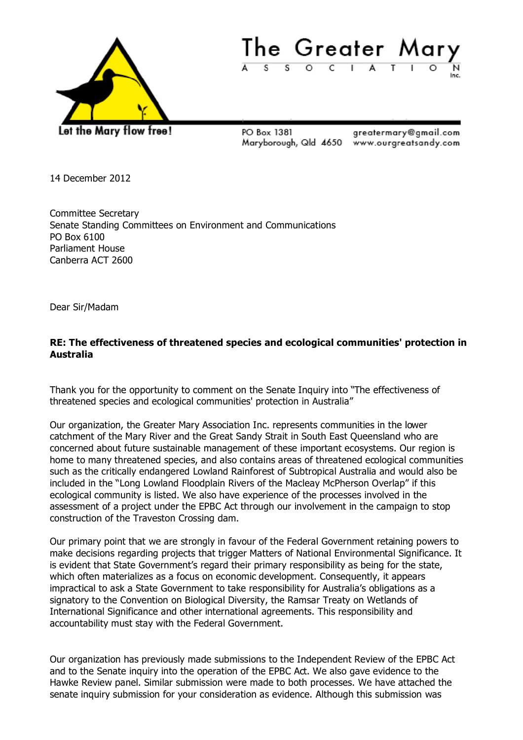



PO Box 1381

greatermary@gmail.com Maryborough, Qld 4650 www.ourgreatsandy.com

14 December 2012

Committee Secretary Senate Standing Committees on Environment and Communications PO Box 6100 Parliament House Canberra ACT 2600

Dear Sir/Madam

## **RE: The effectiveness of threatened species and ecological communities' protection in Australia**

Thank you for the opportunity to comment on the Senate Inquiry into "The effectiveness of threatened species and ecological communities' protection in Australia"

Our organization, the Greater Mary Association Inc. represents communities in the lower catchment of the Mary River and the Great Sandy Strait in South East Queensland who are concerned about future sustainable management of these important ecosystems. Our region is home to many threatened species, and also contains areas of threatened ecological communities such as the critically endangered Lowland Rainforest of Subtropical Australia and would also be included in the "Long Lowland Floodplain Rivers of the Macleay McPherson Overlap" if this ecological community is listed. We also have experience of the processes involved in the assessment of a project under the EPBC Act through our involvement in the campaign to stop construction of the Traveston Crossing dam.

Our primary point that we are strongly in favour of the Federal Government retaining powers to make decisions regarding projects that trigger Matters of National Environmental Significance. It is evident that State Government's regard their primary responsibility as being for the state, which often materializes as a focus on economic development. Consequently, it appears impractical to ask a State Government to take responsibility for Australia's obligations as a signatory to the Convention on Biological Diversity, the Ramsar Treaty on Wetlands of International Significance and other international agreements. This responsibility and accountability must stay with the Federal Government.

Our organization has previously made submissions to the Independent Review of the EPBC Act and to the Senate inquiry into the operation of the EPBC Act. We also gave evidence to the Hawke Review panel. Similar submission were made to both processes. We have attached the senate inquiry submission for your consideration as evidence. Although this submission was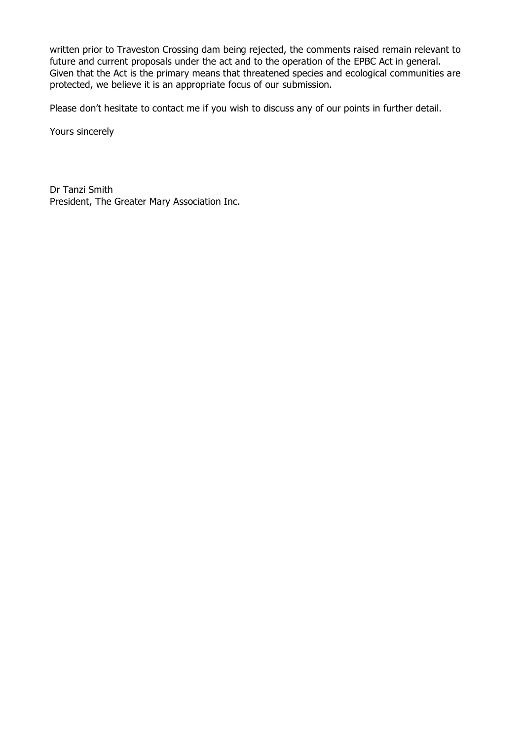written prior to Traveston Crossing dam being rejected, the comments raised remain relevant to future and current proposals under the act and to the operation of the EPBC Act in general. Given that the Act is the primary means that threatened species and ecological communities are protected, we believe it is an appropriate focus of our submission.

Please don't hesitate to contact me if you wish to discuss any of our points in further detail.

Yours sincerely

Dr Tanzi Smith President, The Greater Mary Association Inc.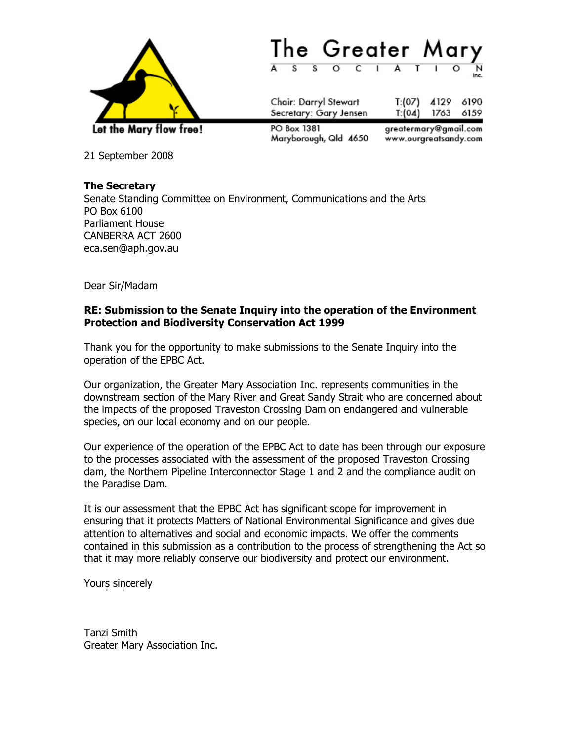



Chair: Darryl Stewart T:(07) 4129 6190 Secretary: Gary Jensen  $T: (04)$ 1763 6159 PO Box 1381 greatermary@gmail.com Maryborough, Qld 4650 www.ourgreatsandy.com

21 September 2008

## **The Secretary**

Senate Standing Committee on Environment, Communications and the Arts PO Box 6100 Parliament House CANBERRA ACT 2600 eca.sen@aph.gov.au

Dear Sir/Madam

## **RE: Submission to the Senate Inquiry into the operation of the Environment Protection and Biodiversity Conservation Act 1999**

Thank you for the opportunity to make submissions to the Senate Inquiry into the operation of the EPBC Act.

Our organization, the Greater Mary Association Inc. represents communities in the downstream section of the Mary River and Great Sandy Strait who are concerned about the impacts of the proposed Traveston Crossing Dam on endangered and vulnerable species, on our local economy and on our people.

Our experience of the operation of the EPBC Act to date has been through our exposure to the processes associated with the assessment of the proposed Traveston Crossing dam, the Northern Pipeline Interconnector Stage 1 and 2 and the compliance audit on the Paradise Dam.

It is our assessment that the EPBC Act has significant scope for improvement in ensuring that it protects Matters of National Environmental Significance and gives due attention to alternatives and social and economic impacts. We offer the comments contained in this submission as a contribution to the process of strengthening the Act so that it may more reliably conserve our biodiversity and protect our environment.

Yours sincerely

Tanzi Smith Greater Mary Association Inc.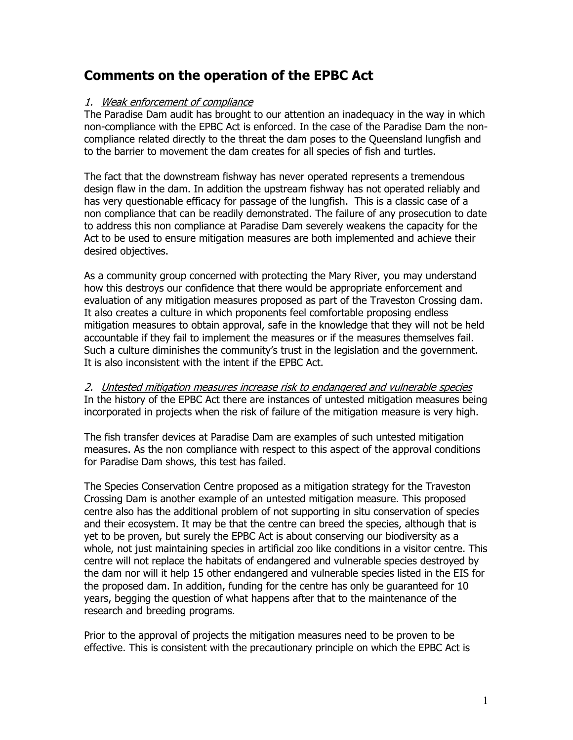# **Comments on the operation of the EPBC Act**

## 1. Weak enforcement of compliance

The Paradise Dam audit has brought to our attention an inadequacy in the way in which non-compliance with the EPBC Act is enforced. In the case of the Paradise Dam the noncompliance related directly to the threat the dam poses to the Queensland lungfish and to the barrier to movement the dam creates for all species of fish and turtles.

The fact that the downstream fishway has never operated represents a tremendous design flaw in the dam. In addition the upstream fishway has not operated reliably and has very questionable efficacy for passage of the lungfish. This is a classic case of a non compliance that can be readily demonstrated. The failure of any prosecution to date to address this non compliance at Paradise Dam severely weakens the capacity for the Act to be used to ensure mitigation measures are both implemented and achieve their desired objectives.

As a community group concerned with protecting the Mary River, you may understand how this destroys our confidence that there would be appropriate enforcement and evaluation of any mitigation measures proposed as part of the Traveston Crossing dam. It also creates a culture in which proponents feel comfortable proposing endless mitigation measures to obtain approval, safe in the knowledge that they will not be held accountable if they fail to implement the measures or if the measures themselves fail. Such a culture diminishes the community's trust in the legislation and the government. It is also inconsistent with the intent if the EPBC Act.

2. Untested mitigation measures increase risk to endangered and vulnerable species In the history of the EPBC Act there are instances of untested mitigation measures being incorporated in projects when the risk of failure of the mitigation measure is very high.

The fish transfer devices at Paradise Dam are examples of such untested mitigation measures. As the non compliance with respect to this aspect of the approval conditions for Paradise Dam shows, this test has failed.

The Species Conservation Centre proposed as a mitigation strategy for the Traveston Crossing Dam is another example of an untested mitigation measure. This proposed centre also has the additional problem of not supporting in situ conservation of species and their ecosystem. It may be that the centre can breed the species, although that is yet to be proven, but surely the EPBC Act is about conserving our biodiversity as a whole, not just maintaining species in artificial zoo like conditions in a visitor centre. This centre will not replace the habitats of endangered and vulnerable species destroyed by the dam nor will it help 15 other endangered and vulnerable species listed in the EIS for the proposed dam. In addition, funding for the centre has only be guaranteed for 10 years, begging the question of what happens after that to the maintenance of the research and breeding programs.

Prior to the approval of projects the mitigation measures need to be proven to be effective. This is consistent with the precautionary principle on which the EPBC Act is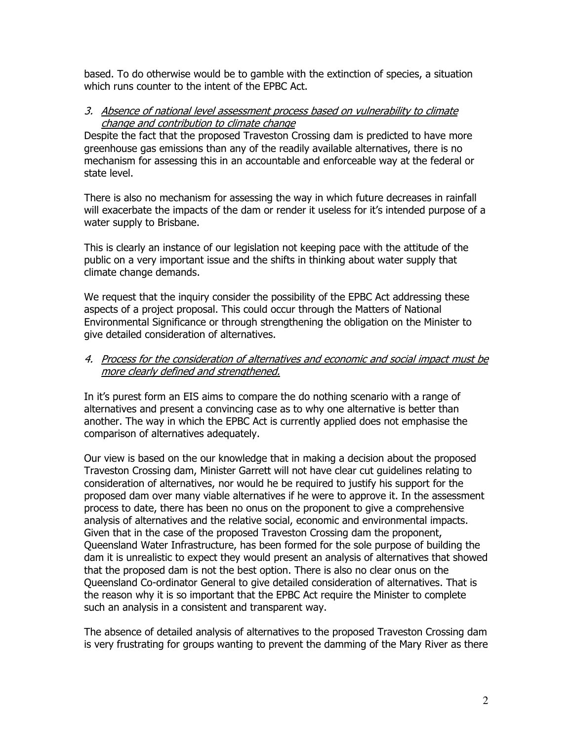based. To do otherwise would be to gamble with the extinction of species, a situation which runs counter to the intent of the EPBC Act.

### 3. Absence of national level assessment process based on vulnerability to climate change and contribution to climate change

Despite the fact that the proposed Traveston Crossing dam is predicted to have more greenhouse gas emissions than any of the readily available alternatives, there is no mechanism for assessing this in an accountable and enforceable way at the federal or state level.

There is also no mechanism for assessing the way in which future decreases in rainfall will exacerbate the impacts of the dam or render it useless for it's intended purpose of a water supply to Brisbane.

This is clearly an instance of our legislation not keeping pace with the attitude of the public on a very important issue and the shifts in thinking about water supply that climate change demands.

We request that the inquiry consider the possibility of the EPBC Act addressing these aspects of a project proposal. This could occur through the Matters of National Environmental Significance or through strengthening the obligation on the Minister to give detailed consideration of alternatives.

## 4. Process for the consideration of alternatives and economic and social impact must be more clearly defined and strengthened.

In it's purest form an EIS aims to compare the do nothing scenario with a range of alternatives and present a convincing case as to why one alternative is better than another. The way in which the EPBC Act is currently applied does not emphasise the comparison of alternatives adequately.

Our view is based on the our knowledge that in making a decision about the proposed Traveston Crossing dam, Minister Garrett will not have clear cut guidelines relating to consideration of alternatives, nor would he be required to justify his support for the proposed dam over many viable alternatives if he were to approve it. In the assessment process to date, there has been no onus on the proponent to give a comprehensive analysis of alternatives and the relative social, economic and environmental impacts. Given that in the case of the proposed Traveston Crossing dam the proponent, Queensland Water Infrastructure, has been formed for the sole purpose of building the dam it is unrealistic to expect they would present an analysis of alternatives that showed that the proposed dam is not the best option. There is also no clear onus on the Queensland Co-ordinator General to give detailed consideration of alternatives. That is the reason why it is so important that the EPBC Act require the Minister to complete such an analysis in a consistent and transparent way.

The absence of detailed analysis of alternatives to the proposed Traveston Crossing dam is very frustrating for groups wanting to prevent the damming of the Mary River as there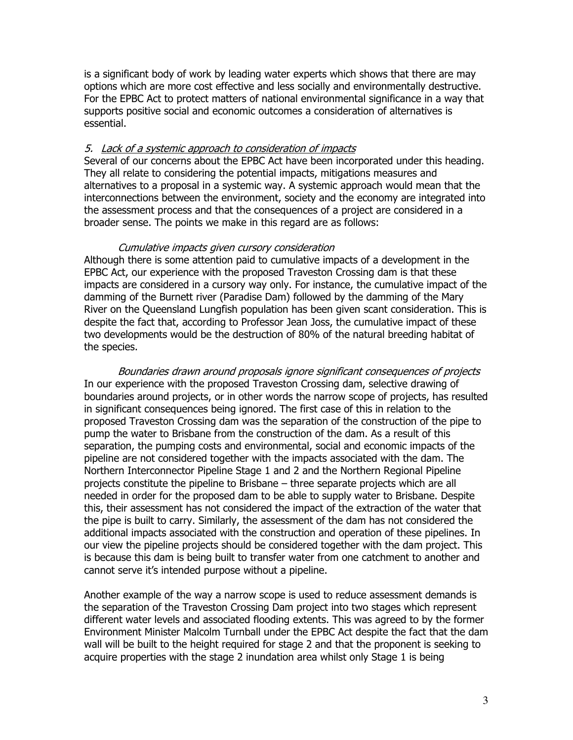is a significant body of work by leading water experts which shows that there are may options which are more cost effective and less socially and environmentally destructive. For the EPBC Act to protect matters of national environmental significance in a way that supports positive social and economic outcomes a consideration of alternatives is essential.

### 5. Lack of a systemic approach to consideration of impacts

Several of our concerns about the EPBC Act have been incorporated under this heading. They all relate to considering the potential impacts, mitigations measures and alternatives to a proposal in a systemic way. A systemic approach would mean that the interconnections between the environment, society and the economy are integrated into the assessment process and that the consequences of a project are considered in a broader sense. The points we make in this regard are as follows:

#### Cumulative impacts given cursory consideration

Although there is some attention paid to cumulative impacts of a development in the EPBC Act, our experience with the proposed Traveston Crossing dam is that these impacts are considered in a cursory way only. For instance, the cumulative impact of the damming of the Burnett river (Paradise Dam) followed by the damming of the Mary River on the Queensland Lungfish population has been given scant consideration. This is despite the fact that, according to Professor Jean Joss, the cumulative impact of these two developments would be the destruction of 80% of the natural breeding habitat of the species.

Boundaries drawn around proposals ignore significant consequences of projects In our experience with the proposed Traveston Crossing dam, selective drawing of boundaries around projects, or in other words the narrow scope of projects, has resulted in significant consequences being ignored. The first case of this in relation to the proposed Traveston Crossing dam was the separation of the construction of the pipe to pump the water to Brisbane from the construction of the dam. As a result of this separation, the pumping costs and environmental, social and economic impacts of the pipeline are not considered together with the impacts associated with the dam. The Northern Interconnector Pipeline Stage 1 and 2 and the Northern Regional Pipeline projects constitute the pipeline to Brisbane – three separate projects which are all needed in order for the proposed dam to be able to supply water to Brisbane. Despite this, their assessment has not considered the impact of the extraction of the water that the pipe is built to carry. Similarly, the assessment of the dam has not considered the additional impacts associated with the construction and operation of these pipelines. In our view the pipeline projects should be considered together with the dam project. This is because this dam is being built to transfer water from one catchment to another and cannot serve it's intended purpose without a pipeline.

Another example of the way a narrow scope is used to reduce assessment demands is the separation of the Traveston Crossing Dam project into two stages which represent different water levels and associated flooding extents. This was agreed to by the former Environment Minister Malcolm Turnball under the EPBC Act despite the fact that the dam wall will be built to the height required for stage 2 and that the proponent is seeking to acquire properties with the stage 2 inundation area whilst only Stage 1 is being